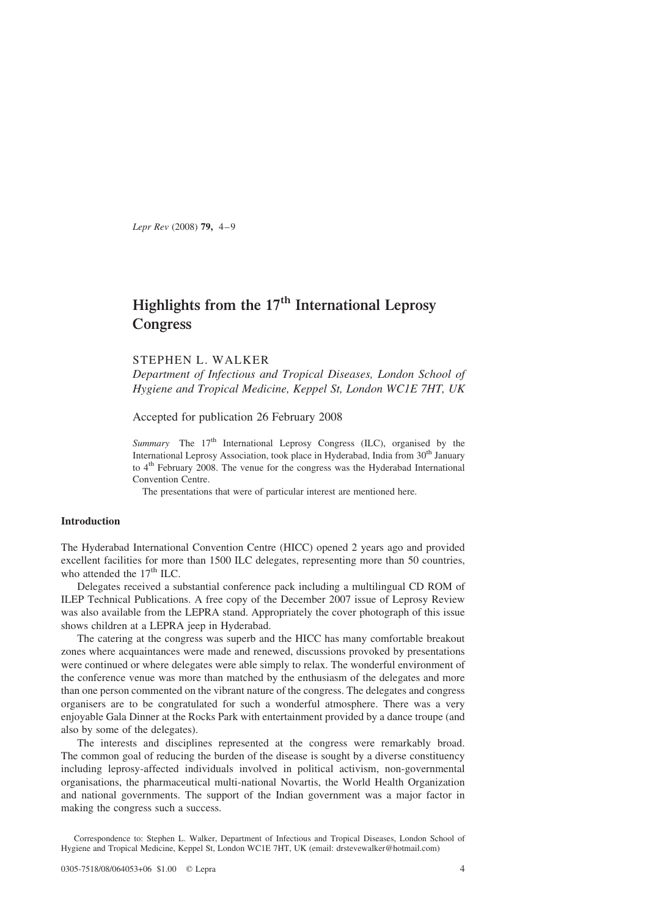Lepr Rev (2008) 79, 4–9

# Highlights from the 17<sup>th</sup> International Leprosy **Congress**

## STEPHEN L. WALKER

Department of Infectious and Tropical Diseases, London School of Hygiene and Tropical Medicine, Keppel St, London WC1E 7HT, UK

Accepted for publication 26 February 2008

Summary The  $17<sup>th</sup>$  International Leprosy Congress (ILC), organised by the International Leprosy Association, took place in Hyderabad, India from 30<sup>th</sup> January to 4<sup>th</sup> February 2008. The venue for the congress was the Hyderabad International Convention Centre.

The presentations that were of particular interest are mentioned here.

## Introduction

The Hyderabad International Convention Centre (HICC) opened 2 years ago and provided excellent facilities for more than 1500 ILC delegates, representing more than 50 countries, who attended the  $17<sup>th</sup>$  ILC.

Delegates received a substantial conference pack including a multilingual CD ROM of ILEP Technical Publications. A free copy of the December 2007 issue of Leprosy Review was also available from the LEPRA stand. Appropriately the cover photograph of this issue shows children at a LEPRA jeep in Hyderabad.

The catering at the congress was superb and the HICC has many comfortable breakout zones where acquaintances were made and renewed, discussions provoked by presentations were continued or where delegates were able simply to relax. The wonderful environment of the conference venue was more than matched by the enthusiasm of the delegates and more than one person commented on the vibrant nature of the congress. The delegates and congress organisers are to be congratulated for such a wonderful atmosphere. There was a very enjoyable Gala Dinner at the Rocks Park with entertainment provided by a dance troupe (and also by some of the delegates).

The interests and disciplines represented at the congress were remarkably broad. The common goal of reducing the burden of the disease is sought by a diverse constituency including leprosy-affected individuals involved in political activism, non-governmental organisations, the pharmaceutical multi-national Novartis, the World Health Organization and national governments. The support of the Indian government was a major factor in making the congress such a success.

Correspondence to: Stephen L. Walker, Department of Infectious and Tropical Diseases, London School of Hygiene and Tropical Medicine, Keppel St, London WC1E 7HT, UK (email: drstevewalker@hotmail.com)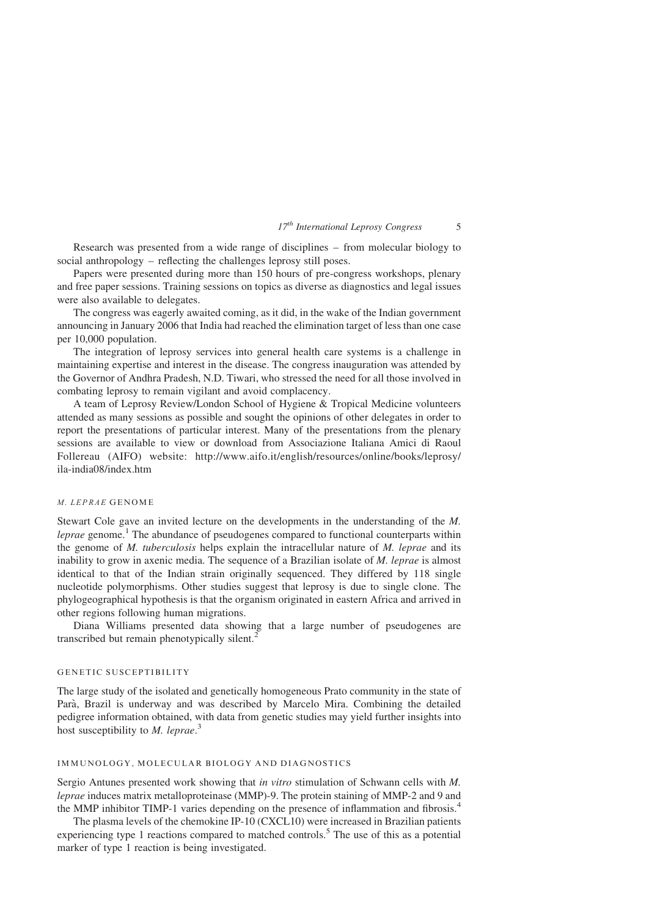$17<sup>th</sup> International Leprosy Congress$  5

Research was presented from a wide range of disciplines – from molecular biology to social anthropology – reflecting the challenges leprosy still poses.

Papers were presented during more than 150 hours of pre-congress workshops, plenary and free paper sessions. Training sessions on topics as diverse as diagnostics and legal issues were also available to delegates.

The congress was eagerly awaited coming, as it did, in the wake of the Indian government announcing in January 2006 that India had reached the elimination target of less than one case per 10,000 population.

The integration of leprosy services into general health care systems is a challenge in maintaining expertise and interest in the disease. The congress inauguration was attended by the Governor of Andhra Pradesh, N.D. Tiwari, who stressed the need for all those involved in combating leprosy to remain vigilant and avoid complacency.

A team of Leprosy Review/London School of Hygiene & Tropical Medicine volunteers attended as many sessions as possible and sought the opinions of other delegates in order to report the presentations of particular interest. Many of the presentations from the plenary sessions are available to view or download from Associazione Italiana Amici di Raoul Follereau (AIFO) website: [http://www.aifo.it/english/resources/online/books/leprosy/](http://www.aifo.it/english/resources/online/books/leprosy/ila-india08/index.htm) [ila-india08/index.htm](http://www.aifo.it/english/resources/online/books/leprosy/ila-india08/index.htm)

## M. LEPRAE GENOME

Stewart Cole gave an invited lecture on the developments in the understanding of the M. *leprae* genome.<sup>[1](#page-4-0)</sup> The abundance of pseudogenes compared to functional counterparts within the genome of  $M$ . tuberculosis helps explain the intracellular nature of  $M$ . leprae and its inability to grow in axenic media. The sequence of a Brazilian isolate of M. leprae is almost identical to that of the Indian strain originally sequenced. They differed by 118 single nucleotide polymorphisms. Other studies suggest that leprosy is due to single clone. The phylogeographical hypothesis is that the organism originated in eastern Africa and arrived in other regions following human migrations.

Diana Williams presented data showing that a large number of pseudogenes are transcribed but remain phenotypically silent.<sup>[2](#page-4-0)</sup>

#### GENETIC SUSCEPTIBILITY

The large study of the isolated and genetically homogeneous Prato community in the state of Parà, Brazil is underway and was described by Marcelo Mira. Combining the detailed pedigree information obtained, with data from genetic studies may yield further insights into host susceptibility to  $M.$  leprae.<sup>[3](#page-4-0)</sup>

#### IMMUNOLOGY, MOLECULAR BIOLOGY AND DIAGNOSTICS

Sergio Antunes presented work showing that in vitro stimulation of Schwann cells with M. leprae induces matrix metalloproteinase (MMP)-9. The protein staining of MMP-2 and 9 and the MMP inhibitor TIMP-1 varies depending on the presence of inflammation and fibrosis.<sup>[4](#page-4-0)</sup>

The plasma levels of the chemokine IP-10 (CXCL10) were increased in Brazilian patients experiencing type 1 reactions compared to matched controls.<sup>[5](#page-5-0)</sup> The use of this as a potential marker of type 1 reaction is being investigated.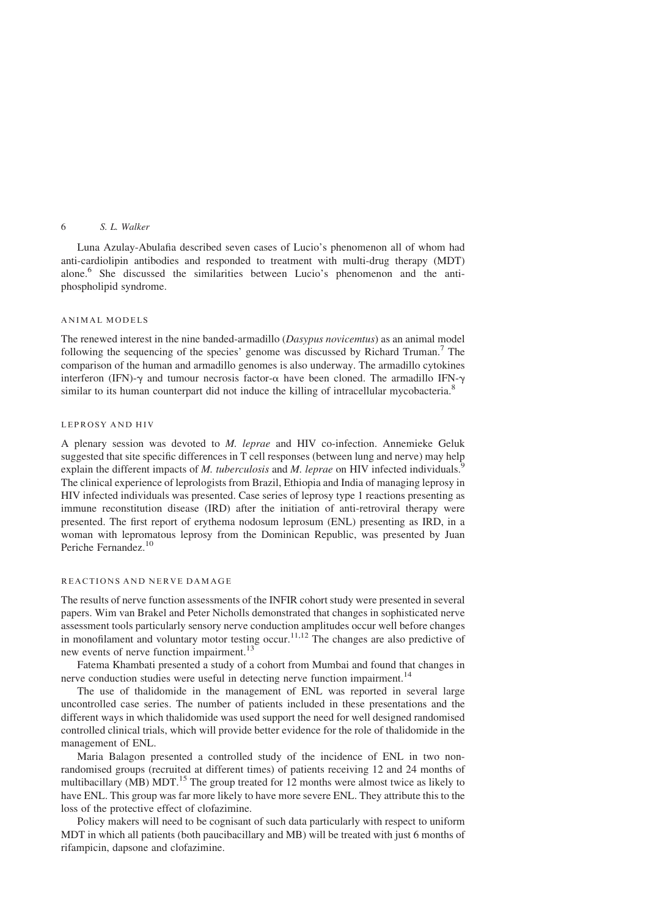## 6 S. L. Walker

Luna Azulay-Abulafia described seven cases of Lucio's phenomenon all of whom had anti-cardiolipin antibodies and responded to treatment with multi-drug therapy (MDT) alone.[6](#page-5-0) She discussed the similarities between Lucio's phenomenon and the antiphospholipid syndrome.

#### ANIMAL MODELS

The renewed interest in the nine banded-armadillo (Dasypus novicemtus) as an animal model following the sequencing of the species' genome was discussed by Richard Truman.<sup>[7](#page-5-0)</sup> The comparison of the human and armadillo genomes is also underway. The armadillo cytokines interferon (IFN)- $\gamma$  and tumour necrosis factor- $\alpha$  have been cloned. The armadillo IFN- $\gamma$ similar to its human counterpart did not induce the killing of intracellular mycobacteria.<sup>[8](#page-5-0)</sup>

#### LEPROSY AND HIV

A plenary session was devoted to M. leprae and HIV co-infection. Annemieke Geluk suggested that site specific differences in T cell responses (between lung and nerve) may help explain the different impacts of M. tuberculosis and M. leprae on HIV infected individuals. The clinical experience of leprologists from Brazil, Ethiopia and India of managing leprosy in HIV infected individuals was presented. Case series of leprosy type 1 reactions presenting as immune reconstitution disease (IRD) after the initiation of anti-retroviral therapy were presented. The first report of erythema nodosum leprosum (ENL) presenting as IRD, in a woman with lepromatous leprosy from the Dominican Republic, was presented by Juan Periche Fernandez.<sup>[10](#page-5-0)</sup>

## REACTIONS AND NERVE DAMAGE

The results of nerve function assessments of the INFIR cohort study were presented in several papers. Wim van Brakel and Peter Nicholls demonstrated that changes in sophisticated nerve assessment tools particularly sensory nerve conduction amplitudes occur well before changes in monofilament and voluntary motor testing occur.<sup>[11,12](#page-5-0)</sup> The changes are also predictive of new events of nerve function impairment.<sup>[13](#page-5-0)</sup>

Fatema Khambati presented a study of a cohort from Mumbai and found that changes in nerve conduction studies were useful in detecting nerve function impairment.<sup>[14](#page-5-0)</sup>

The use of thalidomide in the management of ENL was reported in several large uncontrolled case series. The number of patients included in these presentations and the different ways in which thalidomide was used support the need for well designed randomised controlled clinical trials, which will provide better evidence for the role of thalidomide in the management of ENL.

Maria Balagon presented a controlled study of the incidence of ENL in two nonrandomised groups (recruited at different times) of patients receiving 12 and 24 months of multibacillary (MB) MDT.<sup>[15](#page-5-0)</sup> The group treated for 12 months were almost twice as likely to have ENL. This group was far more likely to have more severe ENL. They attribute this to the loss of the protective effect of clofazimine.

Policy makers will need to be cognisant of such data particularly with respect to uniform MDT in which all patients (both paucibacillary and MB) will be treated with just 6 months of rifampicin, dapsone and clofazimine.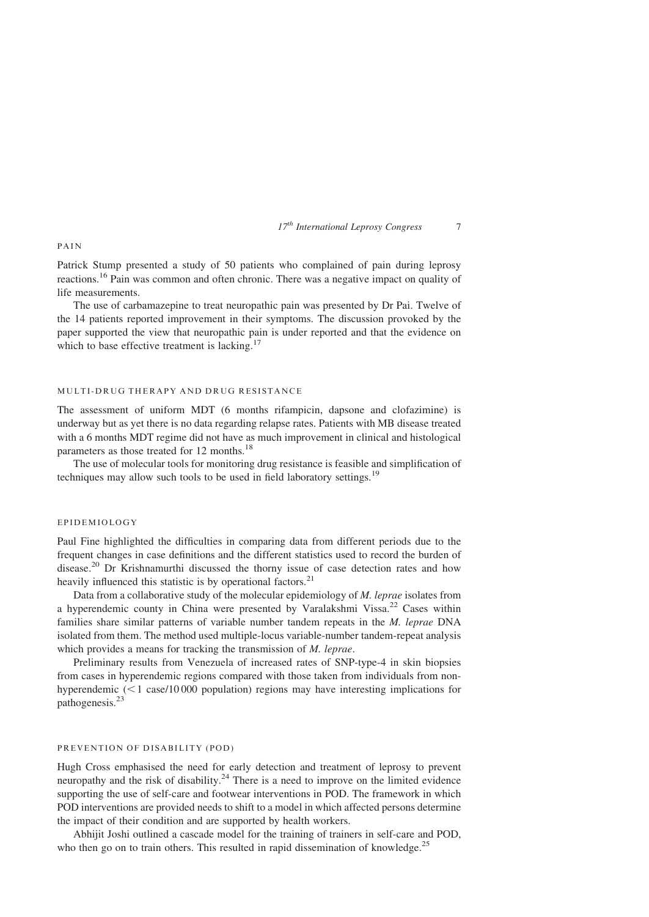$17<sup>th</sup> International Leprosy Congress$  7

#### PAIN

Patrick Stump presented a study of 50 patients who complained of pain during leprosy reactions.[16](#page-5-0) Pain was common and often chronic. There was a negative impact on quality of life measurements.

The use of carbamazepine to treat neuropathic pain was presented by Dr Pai. Twelve of the 14 patients reported improvement in their symptoms. The discussion provoked by the paper supported the view that neuropathic pain is under reported and that the evidence on which to base effective treatment is lacking. $17$ 

#### MULTI-DRUG THERAPY AND DRUG RESISTANCE

The assessment of uniform MDT (6 months rifampicin, dapsone and clofazimine) is underway but as yet there is no data regarding relapse rates. Patients with MB disease treated with a 6 months MDT regime did not have as much improvement in clinical and histological parameters as those treated for 12 months.<sup>[18](#page-5-0)</sup>

The use of molecular tools for monitoring drug resistance is feasible and simplification of techniques may allow such tools to be used in field laboratory settings.<sup>[19](#page-5-0)</sup>

## EPIDEMIOLOGY

Paul Fine highlighted the difficulties in comparing data from different periods due to the frequent changes in case definitions and the different statistics used to record the burden of disease.[20](#page-5-0) Dr Krishnamurthi discussed the thorny issue of case detection rates and how heavily influenced this statistic is by operational factors.<sup>[21](#page-5-0)</sup>

Data from a collaborative study of the molecular epidemiology of *M. leprae* isolates from a hyperendemic county in China were presented by Varalakshmi Vissa.[22](#page-5-0) Cases within families share similar patterns of variable number tandem repeats in the M. leprae DNA isolated from them. The method used multiple-locus variable-number tandem-repeat analysis which provides a means for tracking the transmission of *M. leprae*.

Preliminary results from Venezuela of increased rates of SNP-type-4 in skin biopsies from cases in hyperendemic regions compared with those taken from individuals from nonhyperendemic  $(< 1$  case/10000 population) regions may have interesting implications for pathogenesis.<sup>[23](#page-5-0)</sup>

## PREVENTION OF DISABILITY (POD)

Hugh Cross emphasised the need for early detection and treatment of leprosy to prevent neuropathy and the risk of disability.<sup>[24](#page-5-0)</sup> There is a need to improve on the limited evidence supporting the use of self-care and footwear interventions in POD. The framework in which POD interventions are provided needs to shift to a model in which affected persons determine the impact of their condition and are supported by health workers.

Abhijit Joshi outlined a cascade model for the training of trainers in self-care and POD, who then go on to train others. This resulted in rapid dissemination of knowledge.<sup>[25](#page-5-0)</sup>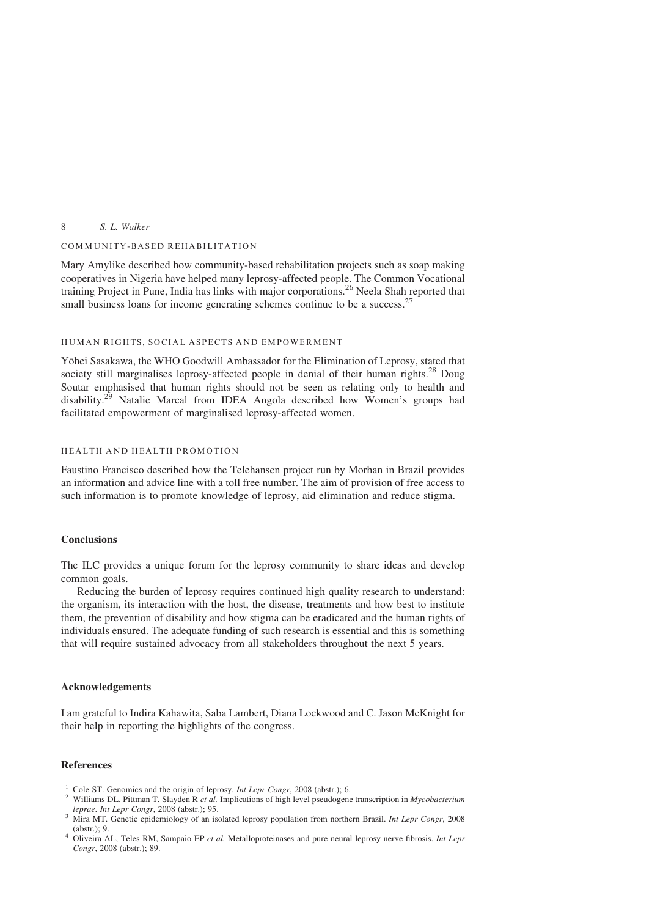## <span id="page-4-0"></span>8 S. L. Walker

#### COMMUNITY-BASED REHABILITATION

Mary Amylike described how community-based rehabilitation projects such as soap making cooperatives in Nigeria have helped many leprosy-affected people. The Common Vocational training Project in Pune, India has links with major corporations.<sup>[26](#page-5-0)</sup> Neela Shah reported that small business loans for income generating schemes continue to be a success.<sup>[27](#page-5-0)</sup>

## HUMAN RIGHTS, SOCIAL ASPECTS AND EMPOWERMENT

Yōhei Sasakawa, the WHO Goodwill Ambassador for the Elimination of Leprosy, stated that society still marginalises leprosy-affected people in denial of their human rights.<sup>[28](#page-5-0)</sup> Doug Soutar emphasised that human rights should not be seen as relating only to health and disability.<sup>[29](#page-5-0)</sup> Natalie Marcal from IDEA Angola described how Women's groups had facilitated empowerment of marginalised leprosy-affected women.

## HEALTH AND HEALTH PROMOTION

Faustino Francisco described how the Telehansen project run by Morhan in Brazil provides an information and advice line with a toll free number. The aim of provision of free access to such information is to promote knowledge of leprosy, aid elimination and reduce stigma.

## Conclusions

The ILC provides a unique forum for the leprosy community to share ideas and develop common goals.

Reducing the burden of leprosy requires continued high quality research to understand: the organism, its interaction with the host, the disease, treatments and how best to institute them, the prevention of disability and how stigma can be eradicated and the human rights of individuals ensured. The adequate funding of such research is essential and this is something that will require sustained advocacy from all stakeholders throughout the next 5 years.

#### Acknowledgements

I am grateful to Indira Kahawita, Saba Lambert, Diana Lockwood and C. Jason McKnight for their help in reporting the highlights of the congress.

## References

- 
- <sup>1</sup> Cole ST. Genomics and the origin of leprosy. *Int Lepr Congr*, 2008 (abstr.); 6.<br><sup>2</sup> Williams DL, Pittman T, Slayden R *et al.* Implications of high level pseudogene transcription in *Mycobacterium leprae. Int Lepr*
- Mira MT. Genetic epidemiology of an isolated leprosy population from northern Brazil. Int Lepr Congr, 2008
- (abstr.); 9.  $4$  Oliveira AL, Teles RM, Sampaio EP *et al.* Metalloproteinases and pure neural leprosy nerve fibrosis. *Int Lepr* Congr, 2008 (abstr.); 89.